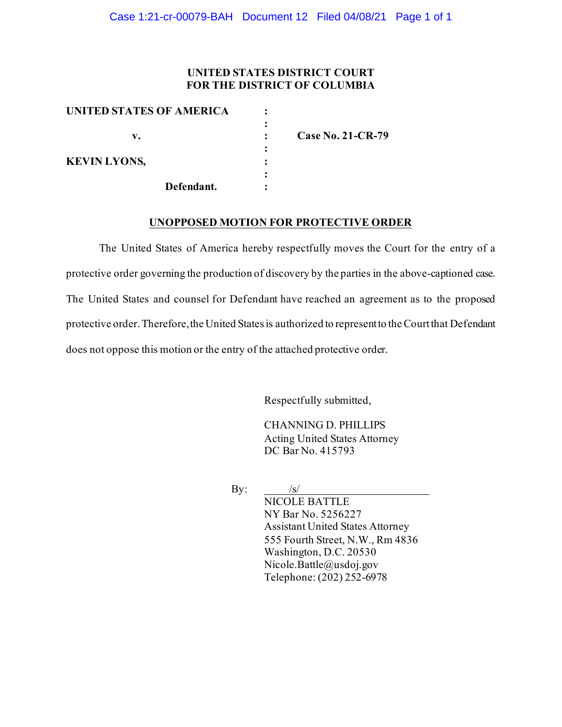# **UNITED STATES DISTRICT COURT FOR THE DISTRICT OF COLUMBIA**

| <b>UNITED STATES OF AMERICA</b> |   |                          |
|---------------------------------|---|--------------------------|
|                                 |   |                          |
| v.                              |   | <b>Case No. 21-CR-79</b> |
|                                 | ٠ |                          |
| <b>KEVIN LYONS,</b>             |   |                          |
|                                 |   |                          |
| Defendant.                      |   |                          |

#### **UNOPPOSED MOTION FOR PROTECTIVE ORDER**

The United States of America hereby respectfully moves the Court for the entry of a protective order governing the production of discovery by the parties in the above-captioned case. The United States and counsel for Defendant have reached an agreement as to the proposed protective order. Therefore, the United States is authorized to represent to the Court that Defendant does not oppose this motion or the entry of the attached protective order.

Respectfully submitted,

CHANNING D. PHILLIPS Acting United States Attorney DC Bar No. 415793

By:  $/s/$ 

NICOLE BATTLE NY Bar No. 5256227 Assistant United States Attorney 555 Fourth Street, N.W., Rm 4836 Washington, D.C. 20530 Nicole.Battle@usdoj.gov Telephone: (202) 252-6978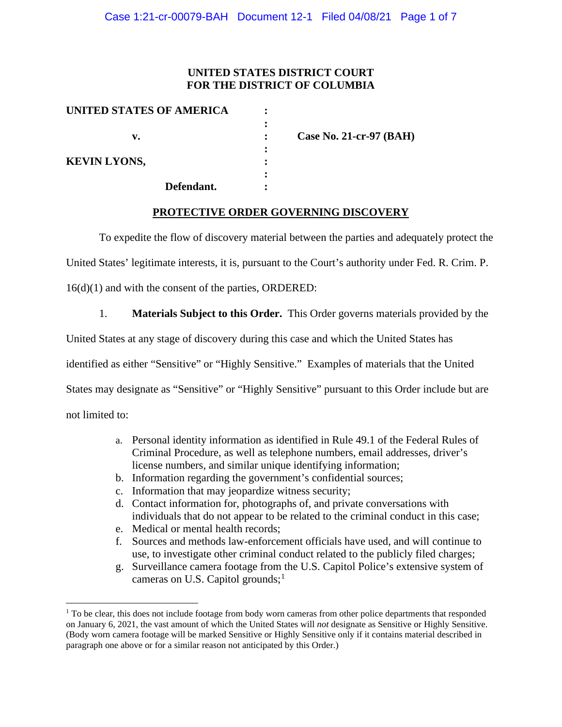# **UNITED STATES DISTRICT COURT FOR THE DISTRICT OF COLUMBIA**

| UNITED STATES OF AMERICA |                         |
|--------------------------|-------------------------|
|                          |                         |
| v.                       | Case No. 21-cr-97 (BAH) |
|                          |                         |
| <b>KEVIN LYONS,</b>      |                         |
|                          |                         |
| Defendant.               |                         |

# **PROTECTIVE ORDER GOVERNING DISCOVERY**

To expedite the flow of discovery material between the parties and adequately protect the

United States' legitimate interests, it is, pursuant to the Court's authority under Fed. R. Crim. P.

16(d)(1) and with the consent of the parties, ORDERED:

1. **Materials Subject to this Order.** This Order governs materials provided by the

United States at any stage of discovery during this case and which the United States has

identified as either "Sensitive" or "Highly Sensitive." Examples of materials that the United

States may designate as "Sensitive" or "Highly Sensitive" pursuant to this Order include but are

not limited to:

- a. Personal identity information as identified in Rule 49.1 of the Federal Rules of Criminal Procedure, as well as telephone numbers, email addresses, driver's license numbers, and similar unique identifying information;
- b. Information regarding the government's confidential sources;
- c. Information that may jeopardize witness security;
- d. Contact information for, photographs of, and private conversations with individuals that do not appear to be related to the criminal conduct in this case;
- e. Medical or mental health records;
- f. Sources and methods law-enforcement officials have used, and will continue to use, to investigate other criminal conduct related to the publicly filed charges;
- g. Surveillance camera footage from the U.S. Capitol Police's extensive system of cameras on U.S. Capitol grounds; $<sup>1</sup>$ </sup>

 $1$  To be clear, this does not include footage from body worn cameras from other police departments that responded on January 6, 2021, the vast amount of which the United States will *not* designate as Sensitive or Highly Sensitive. (Body worn camera footage will be marked Sensitive or Highly Sensitive only if it contains material described in paragraph one above or for a similar reason not anticipated by this Order.)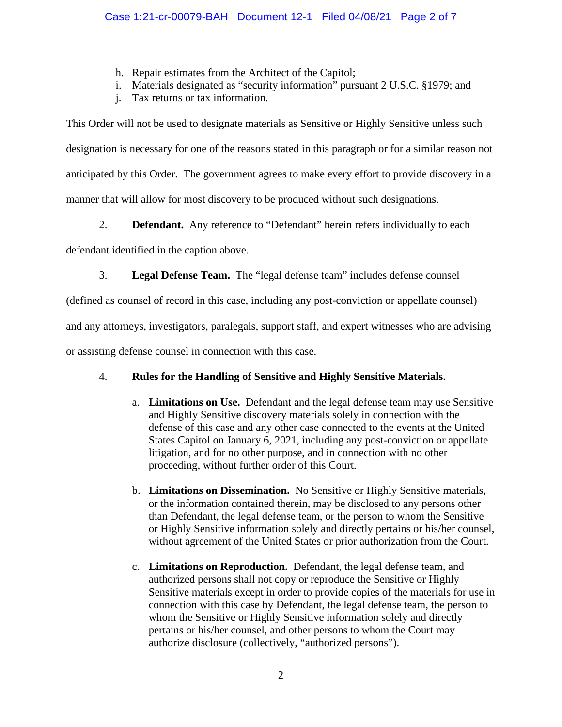- h. Repair estimates from the Architect of the Capitol;
- i. Materials designated as "security information" pursuant 2 U.S.C. §1979; and
- j. Tax returns or tax information.

This Order will not be used to designate materials as Sensitive or Highly Sensitive unless such designation is necessary for one of the reasons stated in this paragraph or for a similar reason not anticipated by this Order. The government agrees to make every effort to provide discovery in a manner that will allow for most discovery to be produced without such designations.

2. **Defendant.** Any reference to "Defendant" herein refers individually to each

defendant identified in the caption above.

3. **Legal Defense Team.** The "legal defense team" includes defense counsel

(defined as counsel of record in this case, including any post-conviction or appellate counsel)

and any attorneys, investigators, paralegals, support staff, and expert witnesses who are advising

or assisting defense counsel in connection with this case.

# 4. **Rules for the Handling of Sensitive and Highly Sensitive Materials.**

- a. **Limitations on Use.** Defendant and the legal defense team may use Sensitive and Highly Sensitive discovery materials solely in connection with the defense of this case and any other case connected to the events at the United States Capitol on January 6, 2021, including any post-conviction or appellate litigation, and for no other purpose, and in connection with no other proceeding, without further order of this Court.
- b. **Limitations on Dissemination.** No Sensitive or Highly Sensitive materials, or the information contained therein, may be disclosed to any persons other than Defendant, the legal defense team, or the person to whom the Sensitive or Highly Sensitive information solely and directly pertains or his/her counsel, without agreement of the United States or prior authorization from the Court.
- c. **Limitations on Reproduction.** Defendant, the legal defense team, and authorized persons shall not copy or reproduce the Sensitive or Highly Sensitive materials except in order to provide copies of the materials for use in connection with this case by Defendant, the legal defense team, the person to whom the Sensitive or Highly Sensitive information solely and directly pertains or his/her counsel, and other persons to whom the Court may authorize disclosure (collectively, "authorized persons").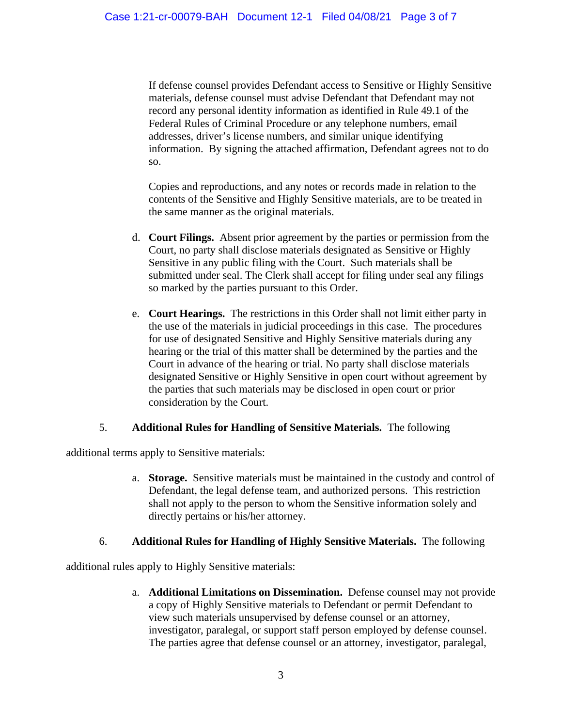If defense counsel provides Defendant access to Sensitive or Highly Sensitive materials, defense counsel must advise Defendant that Defendant may not record any personal identity information as identified in Rule 49.1 of the Federal Rules of Criminal Procedure or any telephone numbers, email addresses, driver's license numbers, and similar unique identifying information. By signing the attached affirmation, Defendant agrees not to do so.

Copies and reproductions, and any notes or records made in relation to the contents of the Sensitive and Highly Sensitive materials, are to be treated in the same manner as the original materials.

- d. **Court Filings.** Absent prior agreement by the parties or permission from the Court, no party shall disclose materials designated as Sensitive or Highly Sensitive in any public filing with the Court. Such materials shall be submitted under seal. The Clerk shall accept for filing under seal any filings so marked by the parties pursuant to this Order.
- e. **Court Hearings.** The restrictions in this Order shall not limit either party in the use of the materials in judicial proceedings in this case. The procedures for use of designated Sensitive and Highly Sensitive materials during any hearing or the trial of this matter shall be determined by the parties and the Court in advance of the hearing or trial. No party shall disclose materials designated Sensitive or Highly Sensitive in open court without agreement by the parties that such materials may be disclosed in open court or prior consideration by the Court.

# 5. **Additional Rules for Handling of Sensitive Materials.** The following

additional terms apply to Sensitive materials:

a. **Storage.** Sensitive materials must be maintained in the custody and control of Defendant, the legal defense team, and authorized persons. This restriction shall not apply to the person to whom the Sensitive information solely and directly pertains or his/her attorney.

# 6. **Additional Rules for Handling of Highly Sensitive Materials.** The following

additional rules apply to Highly Sensitive materials:

a. **Additional Limitations on Dissemination.** Defense counsel may not provide a copy of Highly Sensitive materials to Defendant or permit Defendant to view such materials unsupervised by defense counsel or an attorney, investigator, paralegal, or support staff person employed by defense counsel. The parties agree that defense counsel or an attorney, investigator, paralegal,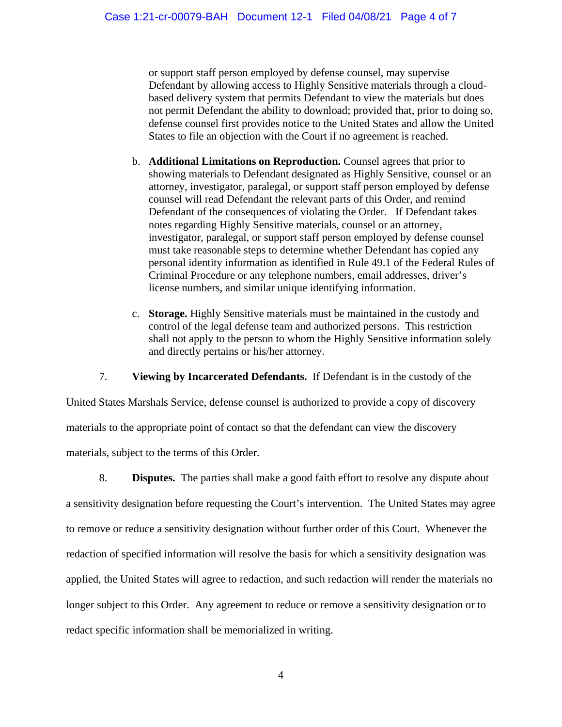or support staff person employed by defense counsel, may supervise Defendant by allowing access to Highly Sensitive materials through a cloudbased delivery system that permits Defendant to view the materials but does not permit Defendant the ability to download; provided that, prior to doing so, defense counsel first provides notice to the United States and allow the United States to file an objection with the Court if no agreement is reached.

- b. **Additional Limitations on Reproduction.** Counsel agrees that prior to showing materials to Defendant designated as Highly Sensitive, counsel or an attorney, investigator, paralegal, or support staff person employed by defense counsel will read Defendant the relevant parts of this Order, and remind Defendant of the consequences of violating the Order. If Defendant takes notes regarding Highly Sensitive materials, counsel or an attorney, investigator, paralegal, or support staff person employed by defense counsel must take reasonable steps to determine whether Defendant has copied any personal identity information as identified in Rule 49.1 of the Federal Rules of Criminal Procedure or any telephone numbers, email addresses, driver's license numbers, and similar unique identifying information.
- c. **Storage.** Highly Sensitive materials must be maintained in the custody and control of the legal defense team and authorized persons. This restriction shall not apply to the person to whom the Highly Sensitive information solely and directly pertains or his/her attorney.

7. **Viewing by Incarcerated Defendants.** If Defendant is in the custody of the

United States Marshals Service, defense counsel is authorized to provide a copy of discovery materials to the appropriate point of contact so that the defendant can view the discovery materials, subject to the terms of this Order.

8. **Disputes.** The parties shall make a good faith effort to resolve any dispute about a sensitivity designation before requesting the Court's intervention. The United States may agree to remove or reduce a sensitivity designation without further order of this Court. Whenever the redaction of specified information will resolve the basis for which a sensitivity designation was applied, the United States will agree to redaction, and such redaction will render the materials no longer subject to this Order. Any agreement to reduce or remove a sensitivity designation or to redact specific information shall be memorialized in writing.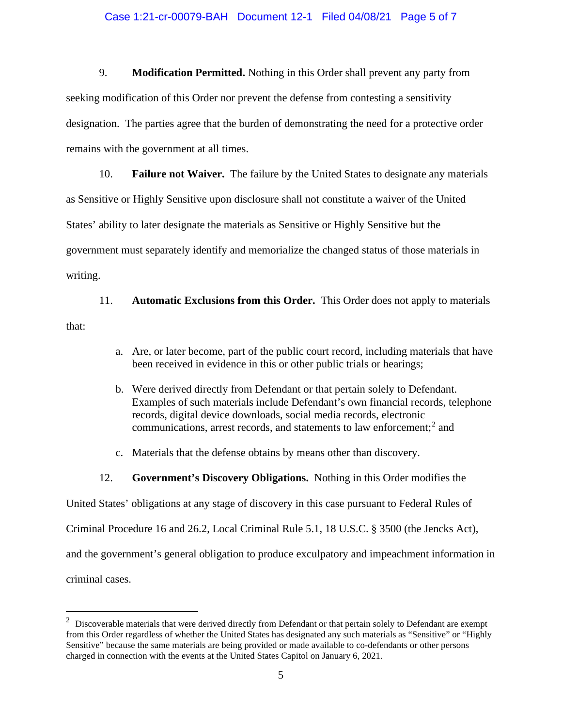#### Case 1:21-cr-00079-BAH Document 12-1 Filed 04/08/21 Page 5 of 7

9. **Modification Permitted.** Nothing in this Order shall prevent any party from seeking modification of this Order nor prevent the defense from contesting a sensitivity designation. The parties agree that the burden of demonstrating the need for a protective order remains with the government at all times.

10. **Failure not Waiver.** The failure by the United States to designate any materials as Sensitive or Highly Sensitive upon disclosure shall not constitute a waiver of the United States' ability to later designate the materials as Sensitive or Highly Sensitive but the government must separately identify and memorialize the changed status of those materials in writing.

11. **Automatic Exclusions from this Order.** This Order does not apply to materials that:

- a. Are, or later become, part of the public court record, including materials that have been received in evidence in this or other public trials or hearings;
- b. Were derived directly from Defendant or that pertain solely to Defendant. Examples of such materials include Defendant's own financial records, telephone records, digital device downloads, social media records, electronic communications, arrest records, and statements to law enforcement;<sup>2</sup> and
- c. Materials that the defense obtains by means other than discovery.
- 12. **Government's Discovery Obligations.** Nothing in this Order modifies the

United States' obligations at any stage of discovery in this case pursuant to Federal Rules of

Criminal Procedure 16 and 26.2, Local Criminal Rule 5.1, 18 U.S.C. § 3500 (the Jencks Act),

and the government's general obligation to produce exculpatory and impeachment information in

criminal cases.

 $2$  Discoverable materials that were derived directly from Defendant or that pertain solely to Defendant are exempt from this Order regardless of whether the United States has designated any such materials as "Sensitive" or "Highly Sensitive" because the same materials are being provided or made available to co-defendants or other persons charged in connection with the events at the United States Capitol on January 6, 2021.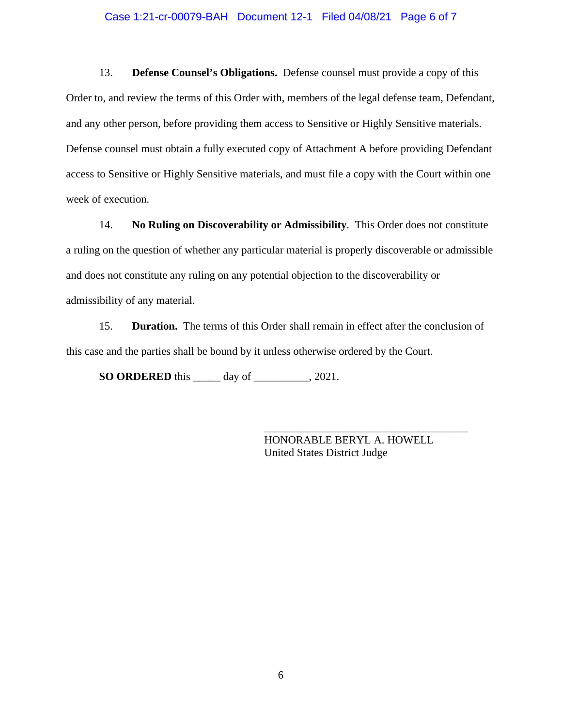#### Case 1:21-cr-00079-BAH Document 12-1 Filed 04/08/21 Page 6 of 7

13. **Defense Counsel's Obligations.** Defense counsel must provide a copy of this Order to, and review the terms of this Order with, members of the legal defense team, Defendant, and any other person, before providing them access to Sensitive or Highly Sensitive materials. Defense counsel must obtain a fully executed copy of Attachment A before providing Defendant access to Sensitive or Highly Sensitive materials, and must file a copy with the Court within one week of execution.

14. **No Ruling on Discoverability or Admissibility**. This Order does not constitute a ruling on the question of whether any particular material is properly discoverable or admissible and does not constitute any ruling on any potential objection to the discoverability or admissibility of any material.

15. **Duration.** The terms of this Order shall remain in effect after the conclusion of this case and the parties shall be bound by it unless otherwise ordered by the Court.

**SO ORDERED** this \_\_\_\_\_ day of \_\_\_\_\_\_\_\_\_\_, 2021.

HONORABLE BERYL A. HOWELL United States District Judge

\_\_\_\_\_\_\_\_\_\_\_\_\_\_\_\_\_\_\_\_\_\_\_\_\_\_\_\_\_\_\_\_\_\_\_\_\_